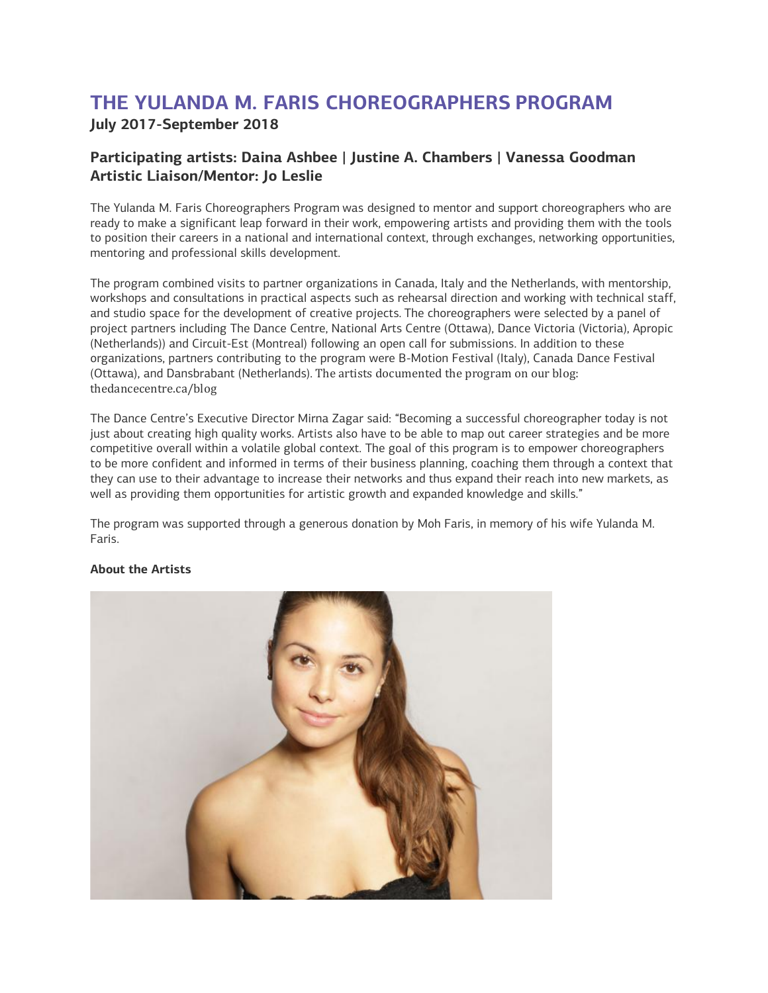## **THE YULANDA M. FARIS CHOREOGRAPHERS PROGRAM July 2017-September 2018**

## **Participating artists: Daina Ashbee | Justine A. Chambers | Vanessa Goodman Artistic Liaison/Mentor: Jo Leslie**

The Yulanda M. Faris Choreographers Program was designed to mentor and support choreographers who are ready to make a significant leap forward in their work, empowering artists and providing them with the tools to position their careers in a national and international context, through exchanges, networking opportunities, mentoring and professional skills development.

The program combined visits to partner organizations in Canada, Italy and the Netherlands, with mentorship, workshops and consultations in practical aspects such as rehearsal direction and working with technical staff, and studio space for the development of creative projects. The choreographers were selected by a panel of project partners including The Dance Centre, National Arts Centre (Ottawa), Dance Victoria (Victoria), Apropic (Netherlands)) and Circuit-Est (Montreal) following an open call for submissions. In addition to these organizations, partners contributing to the program were B-Motion Festival (Italy), Canada Dance Festival (Ottawa), and Dansbrabant (Netherlands). The artists documented the program on our blog: thedancecentre.ca/blog

The Dance Centre's Executive Director Mirna Zagar said: "Becoming a successful choreographer today is not just about creating high quality works. Artists also have to be able to map out career strategies and be more competitive overall within a volatile global context. The goal of this program is to empower choreographers to be more confident and informed in terms of their business planning, coaching them through a context that they can use to their advantage to increase their networks and thus expand their reach into new markets, as well as providing them opportunities for artistic growth and expanded knowledge and skills."

The program was supported through a generous donation by Moh Faris, in memory of his wife Yulanda M. Faris.



## **About the Artists**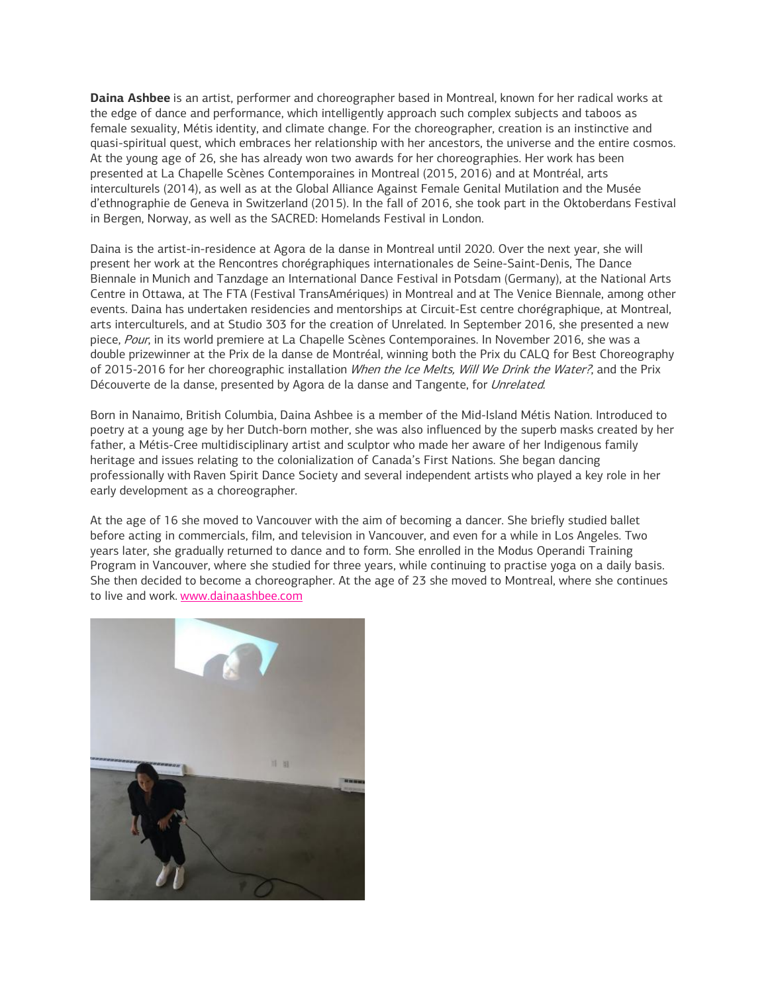**Daina Ashbee** is an artist, performer and choreographer based in Montreal, known for her radical works at the edge of dance and performance, which intelligently approach such complex subjects and taboos as female sexuality, Métis identity, and climate change. For the choreographer, creation is an instinctive and quasi-spiritual quest, which embraces her relationship with her ancestors, the universe and the entire cosmos. At the young age of 26, she has already won two awards for her choreographies. Her work has been presented at La Chapelle Scènes Contemporaines in Montreal (2015, 2016) and at Montréal, arts interculturels (2014), as well as at the Global Alliance Against Female Genital Mutilation and the Musée d'ethnographie de Geneva in Switzerland (2015). In the fall of 2016, she took part in the Oktoberdans Festival in Bergen, Norway, as well as the SACRED: Homelands Festival in London.

Daina is the artist-in-residence at Agora de la danse in Montreal until 2020. Over the next year, she will present her work at the Rencontres chorégraphiques internationales de Seine-Saint-Denis, The Dance Biennale in Munich and Tanzdage an International Dance Festival in Potsdam (Germany), at the National Arts Centre in Ottawa, at The FTA (Festival TransAmériques) in Montreal and at The Venice Biennale, among other events. Daina has undertaken residencies and mentorships at Circuit-Est centre chorégraphique, at Montreal, arts interculturels, and at Studio 303 for the creation of Unrelated. In September 2016, she presented a new piece, Pour, in its world premiere at La Chapelle Scènes Contemporaines. In November 2016, she was a double prizewinner at the Prix de la danse de Montréal, winning both the Prix du CALQ for Best Choreography of 2015-2016 for her choreographic installation When the Ice Melts, Will We Drink the Water?, and the Prix Découverte de la danse, presented by Agora de la danse and Tangente, for Unrelated.

Born in Nanaimo, British Columbia, Daina Ashbee is a member of the Mid-Island Métis Nation. Introduced to poetry at a young age by her Dutch-born mother, she was also influenced by the superb masks created by her father, a Métis-Cree multidisciplinary artist and sculptor who made her aware of her Indigenous family heritage and issues relating to the colonialization of Canada's First Nations. She began dancing professionally with Raven Spirit Dance Society and several independent artists who played a key role in her early development as a choreographer.

At the age of 16 she moved to Vancouver with the aim of becoming a dancer. She briefly studied ballet before acting in commercials, film, and television in Vancouver, and even for a while in Los Angeles. Two years later, she gradually returned to dance and to form. She enrolled in the Modus Operandi Training Program in Vancouver, where she studied for three years, while continuing to practise yoga on a daily basis. She then decided to become a choreographer. At the age of 23 she moved to Montreal, where she continues to live and work. [www.dainaashbee.com](http://www.dainaashbee.com/)

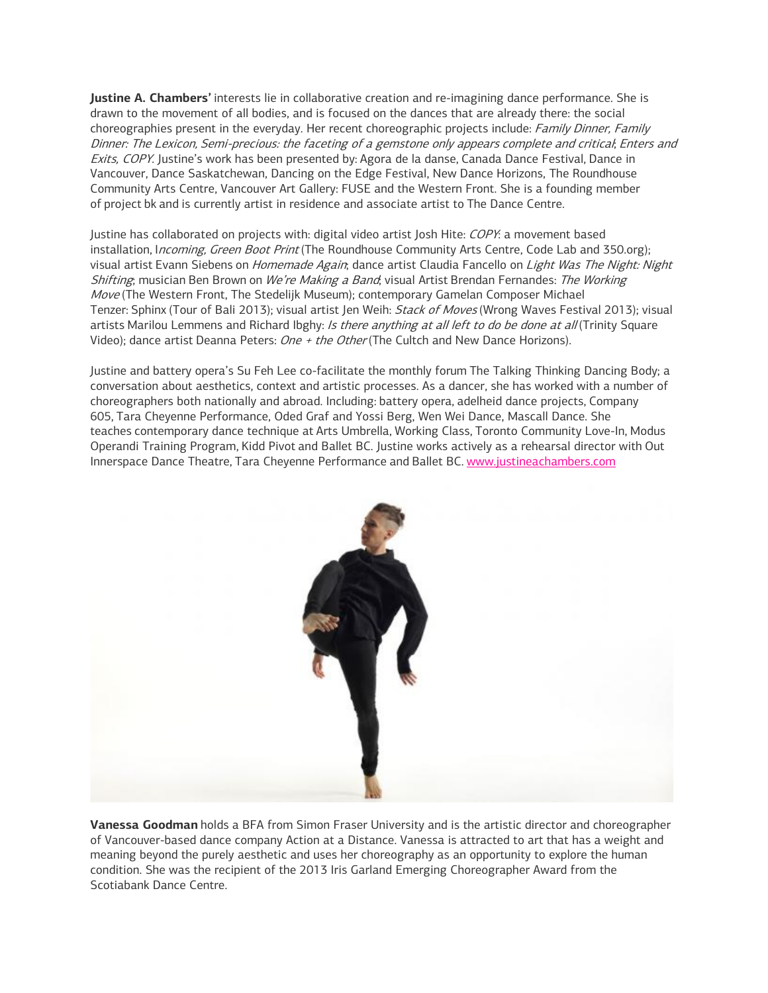**Justine A. Chambers'** interests lie in collaborative creation and re-imagining dance performance. She is drawn to the movement of all bodies, and is focused on the dances that are already there: the social choreographies present in the everyday. Her recent choreographic projects include: Family Dinner, Family Dinner: The Lexicon, Semi-precious: the faceting of a gemstone only appears complete and critical; Enters and Exits, COPY. Justine's work has been presented by: Agora de la danse, Canada Dance Festival, Dance in Vancouver, Dance Saskatchewan, Dancing on the Edge Festival, New Dance Horizons, The Roundhouse Community Arts Centre, Vancouver Art Gallery: FUSE and the Western Front. She is a founding member of project bk and is currently artist in residence and associate artist to The Dance Centre.

Justine has collaborated on projects with: digital video artist Josh Hite: COPY: a movement based installation, *Incoming, Green Boot Print* (The Roundhouse Community Arts Centre, Code Lab and 350.org); visual artist Evann Siebens on Homemade Again; dance artist Claudia Fancello on Light Was The Night: Night Shifting; musician Ben Brown on We're Making a Band; visual Artist Brendan Fernandes: The Working Move (The Western Front, The Stedelijk Museum); contemporary Gamelan Composer Michael Tenzer: Sphinx (Tour of Bali 2013); visual artist Jen Weih: Stack of Moves (Wrong Waves Festival 2013); visual artists Marilou Lemmens and Richard Ibghy: Is there anything at all left to do be done at all (Trinity Square Video); dance artist Deanna Peters: One + the Other (The Cultch and New Dance Horizons).

Justine and battery opera's Su Feh Lee co-facilitate the monthly forum The Talking Thinking Dancing Body; a conversation about aesthetics, context and artistic processes. As a dancer, she has worked with a number of choreographers both nationally and abroad. Including: battery opera, adelheid dance projects, Company 605, Tara Cheyenne Performance, Oded Graf and Yossi Berg, Wen Wei Dance, Mascall Dance. She teaches contemporary dance technique at Arts Umbrella, Working Class, Toronto Community Love-In, Modus Operandi Training Program, Kidd Pivot and Ballet BC. Justine works actively as a rehearsal director with Out Innerspace Dance Theatre, Tara Cheyenne Performance and Ballet BC. [www.justineachambers.com](http://www.justineachambers.com/)



**Vanessa Goodman** holds a BFA from Simon Fraser University and is the artistic director and choreographer of Vancouver-based dance company Action at a Distance. Vanessa is attracted to art that has a weight and meaning beyond the purely aesthetic and uses her choreography as an opportunity to explore the human condition. She was the recipient of the 2013 Iris Garland Emerging Choreographer Award from the Scotiabank Dance Centre.